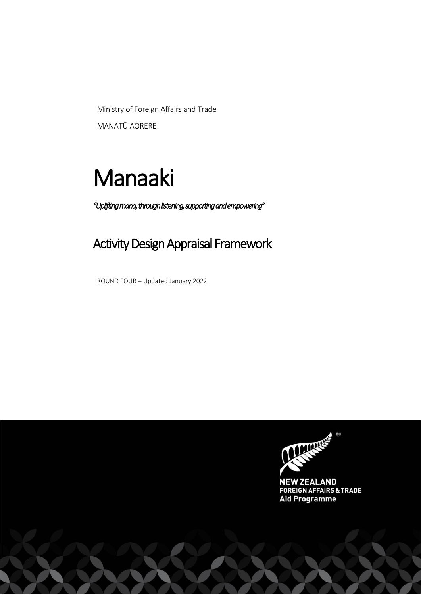Ministry of Foreign Affairs and Trade MANATŪ AORERE

# Manaaki

*"Uplifting mana, through listening, supporting and empowering"*

# Activity Design Appraisal Framework

ROUND FOUR – Updated January 2022

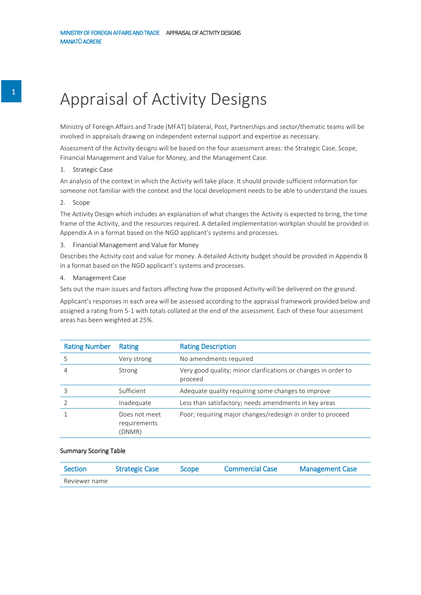# Appraisal of Activity Designs

Ministry of Foreign Affairs and Trade (MFAT) bilateral, Post, Partnerships and sector/thematic teams will be involved in appraisals drawing on independent external support and expertise as necessary.

Assessment of the Activity designs will be based on the four assessment areas: the Strategic Case, Scope, Financial Management and Value for Money, and the Management Case.

#### 1. Strategic Case

An analysis of the context in which the Activity will take place. It should provide sufficient information for someone not familiar with the context and the local development needs to be able to understand the issues.

#### 2. Scope

The Activity Design which includes an explanation of what changes the Activity is expected to bring, the time frame of the Activity, and the resources required. A detailed implementation workplan should be provided in Appendix A in a format based on the NGO applicant's systems and processes.

3. Financial Management and Value for Money

Describes the Activity cost and value for money. A detailed Activity budget should be provided in Appendix B in a format based on the NGO applicant's systems and processes.

#### 4. Management Case

Sets out the main issues and factors affecting how the proposed Activity will be delivered on the ground.

Applicant's responses in each area will be assessed according to the appraisal framework provided below and assigned a rating from 5-1 with totals collated at the end of the assessment. Each of these four assessment areas has been weighted at 25%.

| <b>Rating Number</b> | Rating                                  | <b>Rating Description</b>                                                 |
|----------------------|-----------------------------------------|---------------------------------------------------------------------------|
| 5                    | Very strong                             | No amendments required                                                    |
|                      | Strong                                  | Very good quality; minor clarifications or changes in order to<br>proceed |
|                      | Sufficient                              | Adequate quality requiring some changes to improve                        |
|                      | Inadequate                              | Less than satisfactory; needs amendments in key areas                     |
|                      | Does not meet<br>requirements<br>(DNMR) | Poor; requiring major changes/redesign in order to proceed                |

#### Summary Scoring Table

| <b>Section</b> | <b>Strategic Case</b> | <b>Scope</b> | Commercial Case | <b>Management Case</b> |
|----------------|-----------------------|--------------|-----------------|------------------------|
| Reviewer name  |                       |              |                 |                        |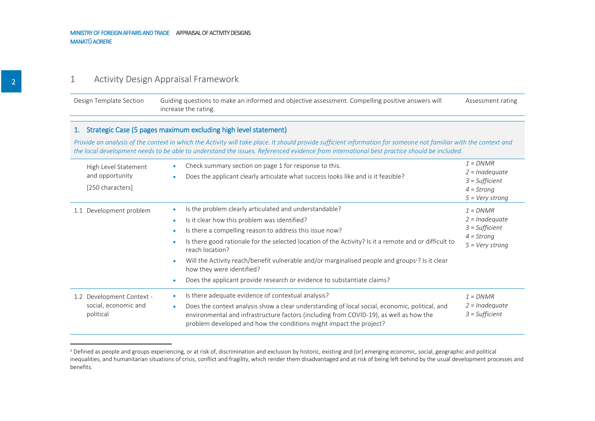# 1 Activity Design Appraisal Framework

| Design Template Section | Guiding questions to make an informed and objective assessment. Compelling positive answers will | Assessment rating |
|-------------------------|--------------------------------------------------------------------------------------------------|-------------------|
|                         | increase the rating.                                                                             |                   |

#### 1. Strategic Case (5 pages maximum excluding high level statement)

*Provide an analysis of the context in which the Activity will take place. It should provide sufficient information for someone not familiar with the context and the local development needs to be able to understand the issues. Referenced evidence from international best practice should be included.*

| High Level Statement<br>and opportunity<br>[250 characters]                 | Check summary section on page 1 for response to this.<br>Does the applicant clearly articulate what success looks like and is it feasible?                                                                                                                                                                                                                                                                                                                                                                                        | $1 = DNMR$<br>$2 =$ Inadequate<br>$3 = Sufficient$<br>$4 =$ Strong<br>$5 = \text{Very strong}$ |
|-----------------------------------------------------------------------------|-----------------------------------------------------------------------------------------------------------------------------------------------------------------------------------------------------------------------------------------------------------------------------------------------------------------------------------------------------------------------------------------------------------------------------------------------------------------------------------------------------------------------------------|------------------------------------------------------------------------------------------------|
| Development problem<br>1.1                                                  | Is the problem clearly articulated and understandable?<br>$\bullet$<br>Is it clear how this problem was identified?<br>Is there a compelling reason to address this issue now?<br>Is there good rationale for the selected location of the Activity? Is it a remote and or difficult to<br>reach location?<br>Will the Activity reach/benefit vulnerable and/or marginalised people and groups <sup>1</sup> ? Is it clear<br>how they were identified?<br>Does the applicant provide research or evidence to substantiate claims? | $1 = DNMR$<br>$2 = Inadequate$<br>$3 = Sufficient$<br>$4 =$ Strong<br>$5 = \text{Very strong}$ |
| Development Context -<br>$1.2^{\circ}$<br>social, economic and<br>political | Is there adequate evidence of contextual analysis?<br>$\bullet$<br>Does the context analysis show a clear understanding of local social, economic, political, and<br>$\bullet$<br>environmental and infrastructure factors (including from COVID-19), as well as how the<br>problem developed and how the conditions might impact the project?                                                                                                                                                                                    | $1 = DNMR$<br>$2 =$ Inadequate<br>$3 = Sufficient$                                             |

<sup>&</sup>lt;sup>1</sup> Defined as people and groups experiencing, or at risk of, discrimination and exclusion by historic, existing and [or] emerging economic, social, geographic and political inequalities, and humanitarian situations of crisis, conflict and fragility, which render them disadvantaged and at risk of being left behind by the usual development processes and benefits.

 $\overline{a}$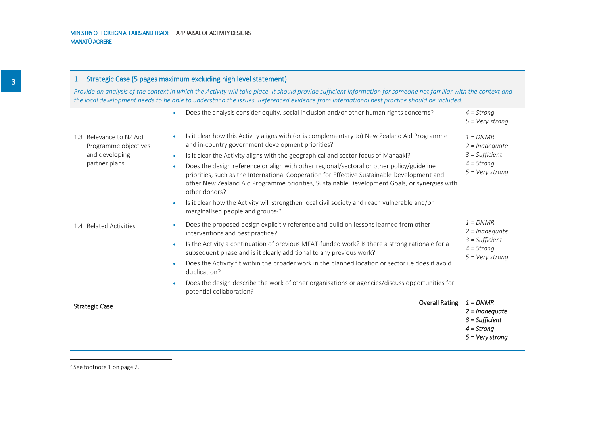#### 1. Strategic Case (5 pages maximum excluding high level statement)

*Provide an analysis of the context in which the Activity will take place. It should provide sufficient information for someone not familiar with the context and the local development needs to be able to understand the issues. Referenced evidence from international best practice should be included.*

|                                                                                    | Does the analysis consider equity, social inclusion and/or other human rights concerns?<br>۰                                                                                                                                                                                                                                                                                                                                                                                                                                                                                                                                                                                                                                              | $4 =$ Strong<br>$5 = Very strong$                                                              |
|------------------------------------------------------------------------------------|-------------------------------------------------------------------------------------------------------------------------------------------------------------------------------------------------------------------------------------------------------------------------------------------------------------------------------------------------------------------------------------------------------------------------------------------------------------------------------------------------------------------------------------------------------------------------------------------------------------------------------------------------------------------------------------------------------------------------------------------|------------------------------------------------------------------------------------------------|
| 1.3 Relevance to NZ Aid<br>Programme objectives<br>and developing<br>partner plans | Is it clear how this Activity aligns with (or is complementary to) New Zealand Aid Programme<br>۰<br>and in-country government development priorities?<br>Is it clear the Activity aligns with the geographical and sector focus of Manaaki?<br>۰<br>Does the design reference or align with other regional/sectoral or other policy/guideline<br>$\bullet$<br>priorities, such as the International Cooperation for Effective Sustainable Development and<br>other New Zealand Aid Programme priorities, Sustainable Development Goals, or synergies with<br>other donors?<br>Is it clear how the Activity will strengthen local civil society and reach vulnerable and/or<br>$\bullet$<br>marginalised people and groups <sup>2</sup> ? | $1 = DNMR$<br>$2 =$ Inadequate<br>$3 = Sufficient$<br>$4 =$ Strong<br>$5 = Very strong$        |
| 1.4 Related Activities                                                             | Does the proposed design explicitly reference and build on lessons learned from other<br>۰<br>interventions and best practice?<br>Is the Activity a continuation of previous MFAT-funded work? Is there a strong rationale for a<br>$\bullet$<br>subsequent phase and is it clearly additional to any previous work?<br>Does the Activity fit within the broader work in the planned location or sector i.e does it avoid<br>$\bullet$<br>duplication?<br>Does the design describe the work of other organisations or agencies/discuss opportunities for<br>۰<br>potential collaboration?                                                                                                                                                 | $1 = DNMR$<br>$2 = Inadequate$<br>$3 = Sufficient$<br>$4 =$ Strong<br>$5 = Very$ strong        |
| <b>Strategic Case</b>                                                              | <b>Overall Rating</b>                                                                                                                                                                                                                                                                                                                                                                                                                                                                                                                                                                                                                                                                                                                     | $1 = DNMR$<br>$2 =$ Inadequate<br>$3 = Sufficient$<br>$4 =$ Strong<br>$5 = \text{Very strong}$ |

<sup>2</sup> See footnote 1 on page 2.

 $\overline{a}$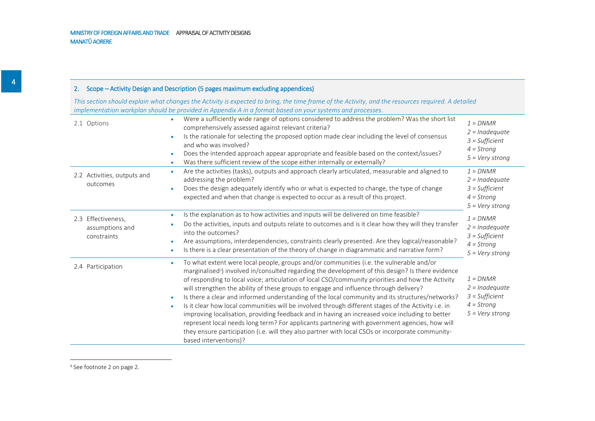#### 2. Scope – Activity Design and Description (5 pages maximum excluding appendices)

*This section should explain what changes the Activity is expected to bring, the time frame of the Activity, and the resources required. A detailed implementation workplan should be provided in Appendix A in a format based on your systems and processes.*

| 2.1 Options                                          | Were a sufficiently wide range of options considered to address the problem? Was the short list<br>comprehensively assessed against relevant criteria?<br>Is the rationale for selecting the proposed option made clear including the level of consensus<br>$\bullet$<br>and who was involved?<br>Does the intended approach appear appropriate and feasible based on the context/issues?<br>٠<br>Was there sufficient review of the scope either internally or externally?<br>$\bullet$                                                                                                                                                                                                                                                                                                                                                                                                                                                               | $1 = DNMR$<br>$2 =$ Inadequate<br>$3 = Sufficient$<br>$4 =$ Strona<br>$5 = \text{Very strong}$ |
|------------------------------------------------------|--------------------------------------------------------------------------------------------------------------------------------------------------------------------------------------------------------------------------------------------------------------------------------------------------------------------------------------------------------------------------------------------------------------------------------------------------------------------------------------------------------------------------------------------------------------------------------------------------------------------------------------------------------------------------------------------------------------------------------------------------------------------------------------------------------------------------------------------------------------------------------------------------------------------------------------------------------|------------------------------------------------------------------------------------------------|
| 2.2 Activities, outputs and<br>outcomes              | Are the activities (tasks), outputs and approach clearly articulated, measurable and aligned to<br>٠<br>addressing the problem?<br>Does the design adequately identify who or what is expected to change, the type of change<br>expected and when that change is expected to occur as a result of this project.                                                                                                                                                                                                                                                                                                                                                                                                                                                                                                                                                                                                                                        | $1 = DNMR$<br>$2 =$ Inadequate<br>$3 = Sufficient$<br>$4 =$ Strong<br>$5 = Very strong$        |
| 2.3 Effectiveness,<br>assumptions and<br>constraints | Is the explanation as to how activities and inputs will be delivered on time feasible?<br>$\bullet$<br>Do the activities, inputs and outputs relate to outcomes and is it clear how they will they transfer<br>into the outcomes?<br>Are assumptions, interdependencies, constraints clearly presented. Are they logical/reasonable?<br>٠<br>Is there is a clear presentation of the theory of change in diagrammatic and narrative form?<br>$\bullet$                                                                                                                                                                                                                                                                                                                                                                                                                                                                                                 | $1 = DNMR$<br>$2 =$ Inadequate<br>$3 = Sufficient$<br>$4 =$ Strong<br>$5 = V$ ery strong       |
| 2.4 Participation                                    | To what extent were local people, groups and/or communities (i.e. the vulnerable and/or<br>marginalised <sup>3</sup> ) involved in/consulted regarding the development of this design? Is there evidence<br>of responding to local voice; articulation of local CSO/community priorities and how the Activity<br>will strengthen the ability of these groups to engage and influence through delivery?<br>Is there a clear and informed understanding of the local community and its structures/networks?<br>۰<br>Is it clear how local communities will be involved through different stages of the Activity i.e. in<br>improving localisation, providing feedback and in having an increased voice including to better<br>represent local needs long term? For applicants partnering with government agencies, how will<br>they ensure participation (i.e. will they also partner with local CSOs or incorporate community-<br>based interventions)? | $1 = DNMR$<br>$2 = Inadequate$<br>$3 = Sufficient$<br>$4 =$ Strong<br>$5 = \text{Very strong}$ |

<sup>3</sup> See footnote 2 on page 2.

 $\overline{a}$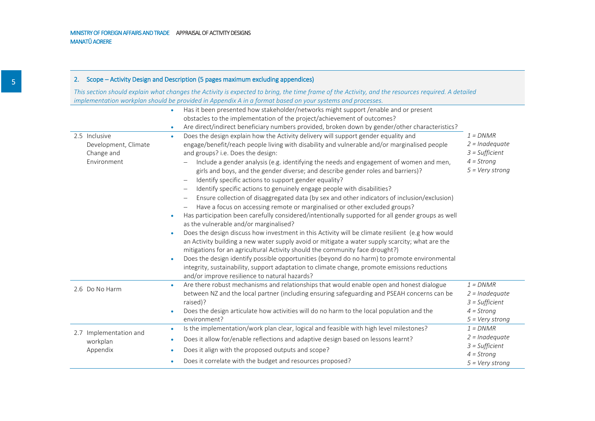#### 2. Scope – Activity Design and Description (5 pages maximum excluding appendices)

*This section should explain what changes the Activity is expected to bring, the time frame of the Activity, and the resources required. A detailed implementation workplan should be provided in Appendix A in a format based on your systems and processes.*

|                                                                                                           | Has it been presented how stakeholder/networks might support /enable and or present                                                                                                                                                                                                                                                                                                                                                                                                                                                                                                                                                                                                                                                                                                                                                                                                                                                                                                                                                                                                                                                                                                                                                                                                                                                                                                                                                  |                                                                                         |
|-----------------------------------------------------------------------------------------------------------|--------------------------------------------------------------------------------------------------------------------------------------------------------------------------------------------------------------------------------------------------------------------------------------------------------------------------------------------------------------------------------------------------------------------------------------------------------------------------------------------------------------------------------------------------------------------------------------------------------------------------------------------------------------------------------------------------------------------------------------------------------------------------------------------------------------------------------------------------------------------------------------------------------------------------------------------------------------------------------------------------------------------------------------------------------------------------------------------------------------------------------------------------------------------------------------------------------------------------------------------------------------------------------------------------------------------------------------------------------------------------------------------------------------------------------------|-----------------------------------------------------------------------------------------|
|                                                                                                           | obstacles to the implementation of the project/achievement of outcomes?                                                                                                                                                                                                                                                                                                                                                                                                                                                                                                                                                                                                                                                                                                                                                                                                                                                                                                                                                                                                                                                                                                                                                                                                                                                                                                                                                              |                                                                                         |
|                                                                                                           | Are direct/indirect beneficiary numbers provided, broken down by gender/other characteristics?                                                                                                                                                                                                                                                                                                                                                                                                                                                                                                                                                                                                                                                                                                                                                                                                                                                                                                                                                                                                                                                                                                                                                                                                                                                                                                                                       |                                                                                         |
| 2.5 Inclusive<br>$\bullet$<br>Development, Climate<br>Change and<br>Environment<br>$\bullet$<br>$\bullet$ | Does the design explain how the Activity delivery will support gender equality and<br>engage/benefit/reach people living with disability and vulnerable and/or marginalised people<br>and groups? i.e. Does the design:<br>Include a gender analysis (e.g. identifying the needs and engagement of women and men,<br>girls and boys, and the gender diverse; and describe gender roles and barriers)?<br>Identify specific actions to support gender equality?<br>Identify specific actions to genuinely engage people with disabilities?<br>$\qquad \qquad -$<br>Ensure collection of disaggregated data (by sex and other indicators of inclusion/exclusion)<br>Have a focus on accessing remote or marginalised or other excluded groups?<br>Has participation been carefully considered/intentionally supported for all gender groups as well<br>as the vulnerable and/or marginalised?<br>Does the design discuss how investment in this Activity will be climate resilient (e.g how would<br>an Activity building a new water supply avoid or mitigate a water supply scarcity; what are the<br>mitigations for an agricultural Activity should the community face drought?)<br>Does the design identify possible opportunities (beyond do no harm) to promote environmental<br>integrity, sustainability, support adaptation to climate change, promote emissions reductions<br>and/or improve resilience to natural hazards? | $1 = DNMR$<br>$2 =$ Inadequate<br>$3 = Sufficient$<br>$4 =$ Strong<br>$5 = Very strong$ |
| 2.6 Do No Harm                                                                                            | Are there robust mechanisms and relationships that would enable open and honest dialogue<br>between NZ and the local partner (including ensuring safeguarding and PSEAH concerns can be<br>raised)?                                                                                                                                                                                                                                                                                                                                                                                                                                                                                                                                                                                                                                                                                                                                                                                                                                                                                                                                                                                                                                                                                                                                                                                                                                  | $1 = DNMR$<br>$2 = Inadequate$<br>$3 = Sufficient$                                      |
| $\bullet$                                                                                                 | Does the design articulate how activities will do no harm to the local population and the<br>environment?                                                                                                                                                                                                                                                                                                                                                                                                                                                                                                                                                                                                                                                                                                                                                                                                                                                                                                                                                                                                                                                                                                                                                                                                                                                                                                                            | $4 =$ Strong<br>$5 = Very$ strong                                                       |
| $\bullet$<br>2.7 Implementation and                                                                       | Is the implementation/work plan clear, logical and feasible with high level milestones?                                                                                                                                                                                                                                                                                                                                                                                                                                                                                                                                                                                                                                                                                                                                                                                                                                                                                                                                                                                                                                                                                                                                                                                                                                                                                                                                              | $1 = DNMR$                                                                              |
| ۰<br>workplan                                                                                             | Does it allow for/enable reflections and adaptive design based on lessons learnt?                                                                                                                                                                                                                                                                                                                                                                                                                                                                                                                                                                                                                                                                                                                                                                                                                                                                                                                                                                                                                                                                                                                                                                                                                                                                                                                                                    | $2 =$ Inadequate                                                                        |
| Appendix<br>۰                                                                                             | Does it align with the proposed outputs and scope?                                                                                                                                                                                                                                                                                                                                                                                                                                                                                                                                                                                                                                                                                                                                                                                                                                                                                                                                                                                                                                                                                                                                                                                                                                                                                                                                                                                   | $3 = Sufficient$                                                                        |
| $\bullet$                                                                                                 | Does it correlate with the budget and resources proposed?                                                                                                                                                                                                                                                                                                                                                                                                                                                                                                                                                                                                                                                                                                                                                                                                                                                                                                                                                                                                                                                                                                                                                                                                                                                                                                                                                                            | $4 =$ Strong<br>$5 = Very strong$                                                       |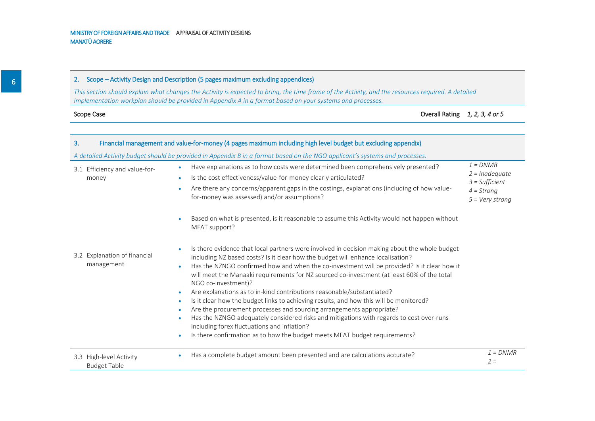#### 2. Scope – Activity Design and Description (5 pages maximum excluding appendices)

*This section should explain what changes the Activity is expected to bring, the time frame of the Activity, and the resources required. A detailed implementation workplan should be provided in Appendix A in a format based on your systems and processes.*

|  | Scope Case |
|--|------------|
|  |            |

Overall Rating *1, 2, 3, 4 or 5* 

| 3. |                                                | Financial management and value-for-money (4 pages maximum including high level budget but excluding appendix)                                                                                                                                                                                                                                                                                                                                                                                                                                                                                                                                                                                                                                                                                                                                                                                                                 |                                                                                                |
|----|------------------------------------------------|-------------------------------------------------------------------------------------------------------------------------------------------------------------------------------------------------------------------------------------------------------------------------------------------------------------------------------------------------------------------------------------------------------------------------------------------------------------------------------------------------------------------------------------------------------------------------------------------------------------------------------------------------------------------------------------------------------------------------------------------------------------------------------------------------------------------------------------------------------------------------------------------------------------------------------|------------------------------------------------------------------------------------------------|
|    |                                                | A detailed Activity budget should be provided in Appendix B in a format based on the NGO applicant's systems and processes.                                                                                                                                                                                                                                                                                                                                                                                                                                                                                                                                                                                                                                                                                                                                                                                                   |                                                                                                |
|    | 3.1 Efficiency and value-for-<br>money         | Have explanations as to how costs were determined been comprehensively presented?<br>Is the cost effectiveness/value-for-money clearly articulated?<br>$\bullet$<br>Are there any concerns/apparent gaps in the costings, explanations (including of how value-<br>for-money was assessed) and/or assumptions?                                                                                                                                                                                                                                                                                                                                                                                                                                                                                                                                                                                                                | $1 = DNMR$<br>$2 =$ Inadequate<br>$3 = Sufficient$<br>$4 =$ Strong<br>$5 = \text{Very strong}$ |
|    |                                                | Based on what is presented, is it reasonable to assume this Activity would not happen without<br>MFAT support?                                                                                                                                                                                                                                                                                                                                                                                                                                                                                                                                                                                                                                                                                                                                                                                                                |                                                                                                |
|    | 3.2 Explanation of financial<br>management     | Is there evidence that local partners were involved in decision making about the whole budget<br>including NZ based costs? Is it clear how the budget will enhance localisation?<br>Has the NZNGO confirmed how and when the co-investment will be provided? Is it clear how it<br>$\bullet$<br>will meet the Manaaki requirements for NZ sourced co-investment (at least 60% of the total<br>NGO co-investment)?<br>Are explanations as to in-kind contributions reasonable/substantiated?<br>Is it clear how the budget links to achieving results, and how this will be monitored?<br>$\bullet$<br>Are the procurement processes and sourcing arrangements appropriate?<br>$\bullet$<br>Has the NZNGO adequately considered risks and mitigations with regards to cost over-runs<br>$\bullet$<br>including forex fluctuations and inflation?<br>Is there confirmation as to how the budget meets MFAT budget requirements? |                                                                                                |
|    | 3.3 High-level Activity<br><b>Budget Table</b> | Has a complete budget amount been presented and are calculations accurate?                                                                                                                                                                                                                                                                                                                                                                                                                                                                                                                                                                                                                                                                                                                                                                                                                                                    | $1 = DNMR$<br>$2 =$                                                                            |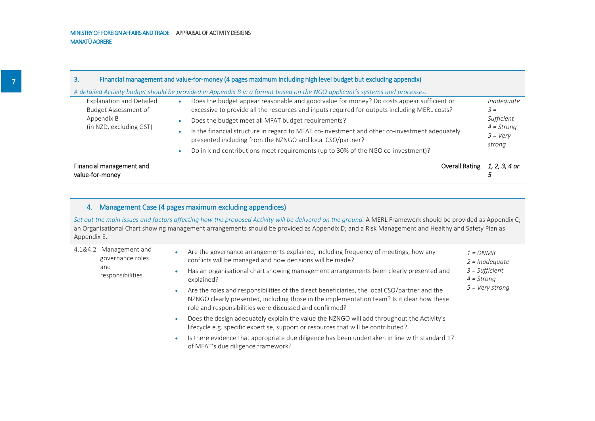| Financial management and<br>value-for-money |                                                                                                                                                            | Overall Rating | 1, 2, 3, 4 or               |
|---------------------------------------------|------------------------------------------------------------------------------------------------------------------------------------------------------------|----------------|-----------------------------|
|                                             | Do in-kind contributions meet requirements (up to 30% of the NGO co-investment)?                                                                           |                |                             |
| (in NZD, excluding GST)                     | Is the financial structure in regard to MFAT co-investment and other co-investment adequately<br>presented including from the NZNGO and local CSO/partner? |                | $5 = \text{Very}$<br>strong |
| Appendix B                                  | Does the budget meet all MFAT budget requirements?                                                                                                         |                | Sufficient<br>$4 =$ Strong  |
| <b>Budget Assessment of</b>                 | excessive to provide all the resources and inputs required for outputs including MERL costs?                                                               |                | $3 =$                       |
| <b>Explanation and Detailed</b>             | Does the budget appear reasonable and good value for money? Do costs appear sufficient or                                                                  |                | Inadequate                  |
|                                             | A detailed Activity budget should be provided in Appendix B in a format based on the NGO applicant's systems and processes.                                |                |                             |
| З.                                          | Financial management and value-for-money (4 pages maximum including high level budget but excluding appendix)                                              |                |                             |

| 4.1&4.2 Management and<br>governance roles | Are the governance arrangements explained, including frequency of meetings, how any<br>conflicts will be managed and how decisions will be made?                                                                                                            | $1 = DNMR$<br>$2 =$ Inadequate<br>$3$ = Sufficient<br>$4 =$ Strong<br>$5 = Very strong$ |
|--------------------------------------------|-------------------------------------------------------------------------------------------------------------------------------------------------------------------------------------------------------------------------------------------------------------|-----------------------------------------------------------------------------------------|
| and<br>responsibilities                    | Has an organisational chart showing management arrangements been clearly presented and<br>٠<br>explained?                                                                                                                                                   |                                                                                         |
|                                            | Are the roles and responsibilities of the direct beneficiaries, the local CSO/partner and the<br>۰<br>NZNGO clearly presented, including those in the implementation team? Is it clear how these<br>role and responsibilities were discussed and confirmed? |                                                                                         |
|                                            | Does the design adequately explain the value the NZNGO will add throughout the Activity's<br>$\bullet$<br>lifecycle e.g. specific expertise, support or resources that will be contributed?                                                                 |                                                                                         |
|                                            | Is there evidence that appropriate due diligence has been undertaken in line with standard 17<br>۰<br>of MFAT's due diligence framework?                                                                                                                    |                                                                                         |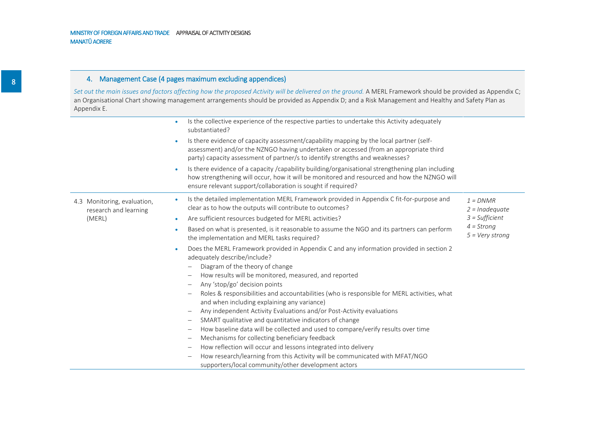|                                                      | Is the collective experience of the respective parties to undertake this Activity adequately<br>$\bullet$<br>substantiated?                                                                                                                                                    |                                   |
|------------------------------------------------------|--------------------------------------------------------------------------------------------------------------------------------------------------------------------------------------------------------------------------------------------------------------------------------|-----------------------------------|
|                                                      | Is there evidence of capacity assessment/capability mapping by the local partner (self-<br>$\bullet$<br>assessment) and/or the NZNGO having undertaken or accessed (from an appropriate third<br>party) capacity assessment of partner/s to identify strengths and weaknesses? |                                   |
|                                                      | Is there evidence of a capacity /capability building/organisational strengthening plan including<br>$\bullet$<br>how strengthening will occur, how it will be monitored and resourced and how the NZNGO will<br>ensure relevant support/collaboration is sought if required?   |                                   |
| 4.3 Monitoring, evaluation,<br>research and learning | Is the detailed implementation MERL Framework provided in Appendix C fit-for-purpose and<br>$\bullet$<br>clear as to how the outputs will contribute to outcomes?                                                                                                              | $1 = DNMR$<br>$2 =$ Inadequate    |
| (MERL)                                               | Are sufficient resources budgeted for MERL activities?<br>$\bullet$                                                                                                                                                                                                            | $3 = Sufficient$                  |
|                                                      | Based on what is presented, is it reasonable to assume the NGO and its partners can perform<br>$\bullet$<br>the implementation and MERL tasks required?                                                                                                                        | $4 =$ Strong<br>$5 = Very strong$ |
|                                                      | Does the MERL Framework provided in Appendix C and any information provided in section 2<br>$\bullet$<br>adequately describe/include?                                                                                                                                          |                                   |
|                                                      | Diagram of the theory of change                                                                                                                                                                                                                                                |                                   |
|                                                      | How results will be monitored, measured, and reported<br>$\qquad \qquad -$                                                                                                                                                                                                     |                                   |
|                                                      | Any 'stop/go' decision points<br>$\qquad \qquad -$                                                                                                                                                                                                                             |                                   |
|                                                      | Roles & responsibilities and accountabilities (who is responsible for MERL activities, what<br>and when including explaining any variance)                                                                                                                                     |                                   |
|                                                      | Any independent Activity Evaluations and/or Post-Activity evaluations<br>$\overline{\phantom{m}}$                                                                                                                                                                              |                                   |
|                                                      | SMART qualitative and quantitative indicators of change<br>$\qquad \qquad -$                                                                                                                                                                                                   |                                   |
|                                                      | How baseline data will be collected and used to compare/verify results over time<br>$\qquad \qquad -$                                                                                                                                                                          |                                   |
|                                                      | Mechanisms for collecting beneficiary feedback<br>$\overline{\phantom{0}}$                                                                                                                                                                                                     |                                   |
|                                                      | How reflection will occur and lessons integrated into delivery<br>$\overline{\phantom{0}}$                                                                                                                                                                                     |                                   |
|                                                      | How research/learning from this Activity will be communicated with MFAT/NGO<br>$\overline{\phantom{0}}$                                                                                                                                                                        |                                   |
|                                                      | supporters/local community/other development actors                                                                                                                                                                                                                            |                                   |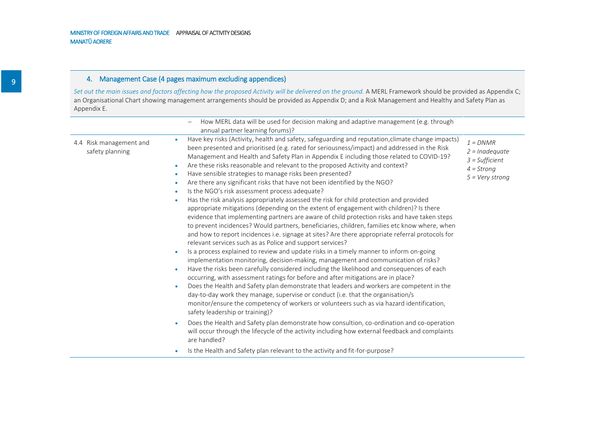|                                                                                                                                                                                           | How MERL data will be used for decision making and adaptive management (e.g. through<br>annual partner learning forums)?                                                                                                                                                                                                                                                                                                                                                                                                                                                                                                                                                                                                                                                                                                                                                                                                                                                                                                                                                                                                                                                                                                                                                                                                                                                                                                                                                                                                                                                                                                                                                                                                                                                                                                                                                                                                                                                                                                                                                                                              |                                                                                                |
|-------------------------------------------------------------------------------------------------------------------------------------------------------------------------------------------|-----------------------------------------------------------------------------------------------------------------------------------------------------------------------------------------------------------------------------------------------------------------------------------------------------------------------------------------------------------------------------------------------------------------------------------------------------------------------------------------------------------------------------------------------------------------------------------------------------------------------------------------------------------------------------------------------------------------------------------------------------------------------------------------------------------------------------------------------------------------------------------------------------------------------------------------------------------------------------------------------------------------------------------------------------------------------------------------------------------------------------------------------------------------------------------------------------------------------------------------------------------------------------------------------------------------------------------------------------------------------------------------------------------------------------------------------------------------------------------------------------------------------------------------------------------------------------------------------------------------------------------------------------------------------------------------------------------------------------------------------------------------------------------------------------------------------------------------------------------------------------------------------------------------------------------------------------------------------------------------------------------------------------------------------------------------------------------------------------------------------|------------------------------------------------------------------------------------------------|
| $\bullet$<br>4.4 Risk management and<br>safety planning<br>$\bullet$<br>$\bullet$<br>$\bullet$<br>$\bullet$<br>$\bullet$<br>$\bullet$<br>$\bullet$<br>$\bullet$<br>$\bullet$<br>$\bullet$ | Have key risks (Activity, health and safety, safeguarding and reputation, climate change impacts)<br>been presented and prioritised (e.g. rated for seriousness/impact) and addressed in the Risk<br>Management and Health and Safety Plan in Appendix E including those related to COVID-19?<br>Are these risks reasonable and relevant to the proposed Activity and context?<br>Have sensible strategies to manage risks been presented?<br>Are there any significant risks that have not been identified by the NGO?<br>Is the NGO's risk assessment process adequate?<br>Has the risk analysis appropriately assessed the risk for child protection and provided<br>appropriate mitigations (depending on the extent of engagement with children)? Is there<br>evidence that implementing partners are aware of child protection risks and have taken steps<br>to prevent incidences? Would partners, beneficiaries, children, families etc know where, when<br>and how to report incidences i.e. signage at sites? Are there appropriate referral protocols for<br>relevant services such as as Police and support services?<br>Is a process explained to review and update risks in a timely manner to inform on-going<br>implementation monitoring, decision-making, management and communication of risks?<br>Have the risks been carefully considered including the likelihood and consequences of each<br>occurring, with assessment ratings for before and after mitigations are in place?<br>Does the Health and Safety plan demonstrate that leaders and workers are competent in the<br>day-to-day work they manage, supervise or conduct (i.e. that the organisation/s<br>monitor/ensure the competency of workers or volunteers such as via hazard identification,<br>safety leadership or training)?<br>Does the Health and Safety plan demonstrate how consultion, co-ordination and co-operation<br>will occur through the lifecycle of the activity including how external feedback and complaints<br>are handled?<br>Is the Health and Safety plan relevant to the activity and fit-for-purpose? | $1 = DNMR$<br>$2 =$ Inadequate<br>$3 = Sufficient$<br>$4 =$ Strong<br>$5 = \text{Very strong}$ |
|                                                                                                                                                                                           |                                                                                                                                                                                                                                                                                                                                                                                                                                                                                                                                                                                                                                                                                                                                                                                                                                                                                                                                                                                                                                                                                                                                                                                                                                                                                                                                                                                                                                                                                                                                                                                                                                                                                                                                                                                                                                                                                                                                                                                                                                                                                                                       |                                                                                                |